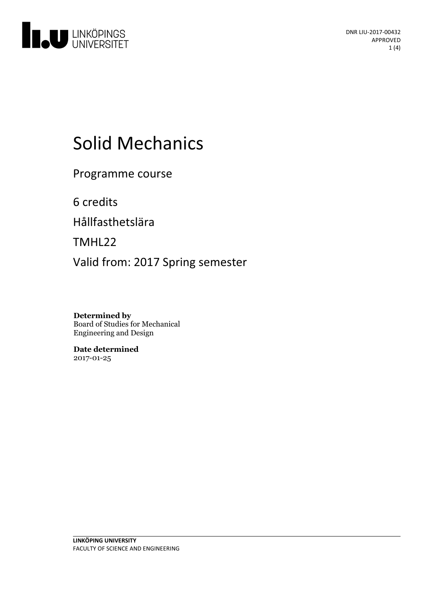

# Solid Mechanics

Programme course

6 credits

Hållfasthetslära

TMHL22

Valid from: 2017 Spring semester

**Determined by** Board of Studies for Mechanical Engineering and Design

**Date determined** 2017-01-25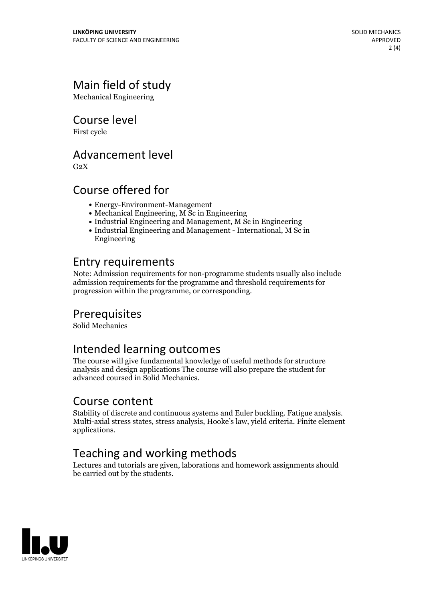# Main field of study

Mechanical Engineering

Course level

First cycle

#### Advancement level

 $G<sub>2</sub>X$ 

### Course offered for

- Energy-Environment-Management
- Mechanical Engineering, M Sc in Engineering
- Industrial Engineering and Management, M Sc in Engineering
- Industrial Engineering and Management International, M Sc in Engineering

### Entry requirements

Note: Admission requirements for non-programme students usually also include admission requirements for the programme and threshold requirements for progression within the programme, or corresponding.

#### **Prerequisites**

Solid Mechanics

#### Intended learning outcomes

The course will give fundamental knowledge of useful methods for structure analysis and design applications The course will also prepare the student for advanced coursed in Solid Mechanics.

**Course content**<br>Stability of discrete and continuous systems and Euler buckling. Fatigue analysis. Multi-axial stress states, stress analysis, Hooke's law, yield criteria. Finite element applications.

# Teaching and working methods

Lectures and tutorials are given, laborations and homework assignments should be carried out by the students.

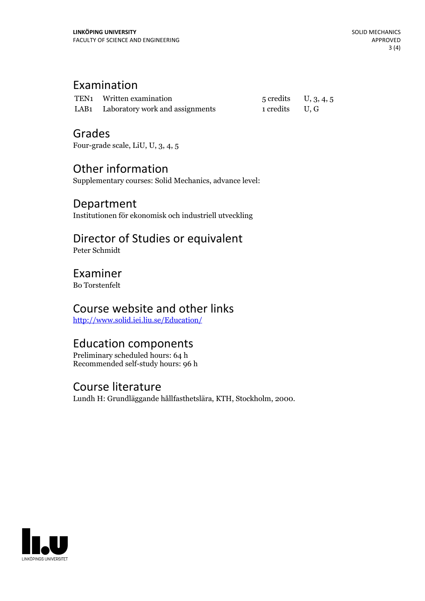### Examination

| TEN1 Written examination             | $5$ credits U, 3, 4, 5 |  |
|--------------------------------------|------------------------|--|
| LAB1 Laboratory work and assignments | 1 credits U.G          |  |

#### Grades

Four-grade scale, LiU, U, 3, 4, 5

# Other information

Supplementary courses: Solid Mechanics, advance level:

#### Department

Institutionen för ekonomisk och industriell utveckling

# Director of Studies or equivalent

Peter Schmidt

#### Examiner

Bo Torstenfelt

# Course website and other links

<http://www.solid.iei.liu.se/Education/>

# Education components

Preliminary scheduled hours: 64 h Recommended self-study hours: 96 h

#### Course literature

Lundh H: Grundläggande hållfasthetslära, KTH, Stockholm, 2000.